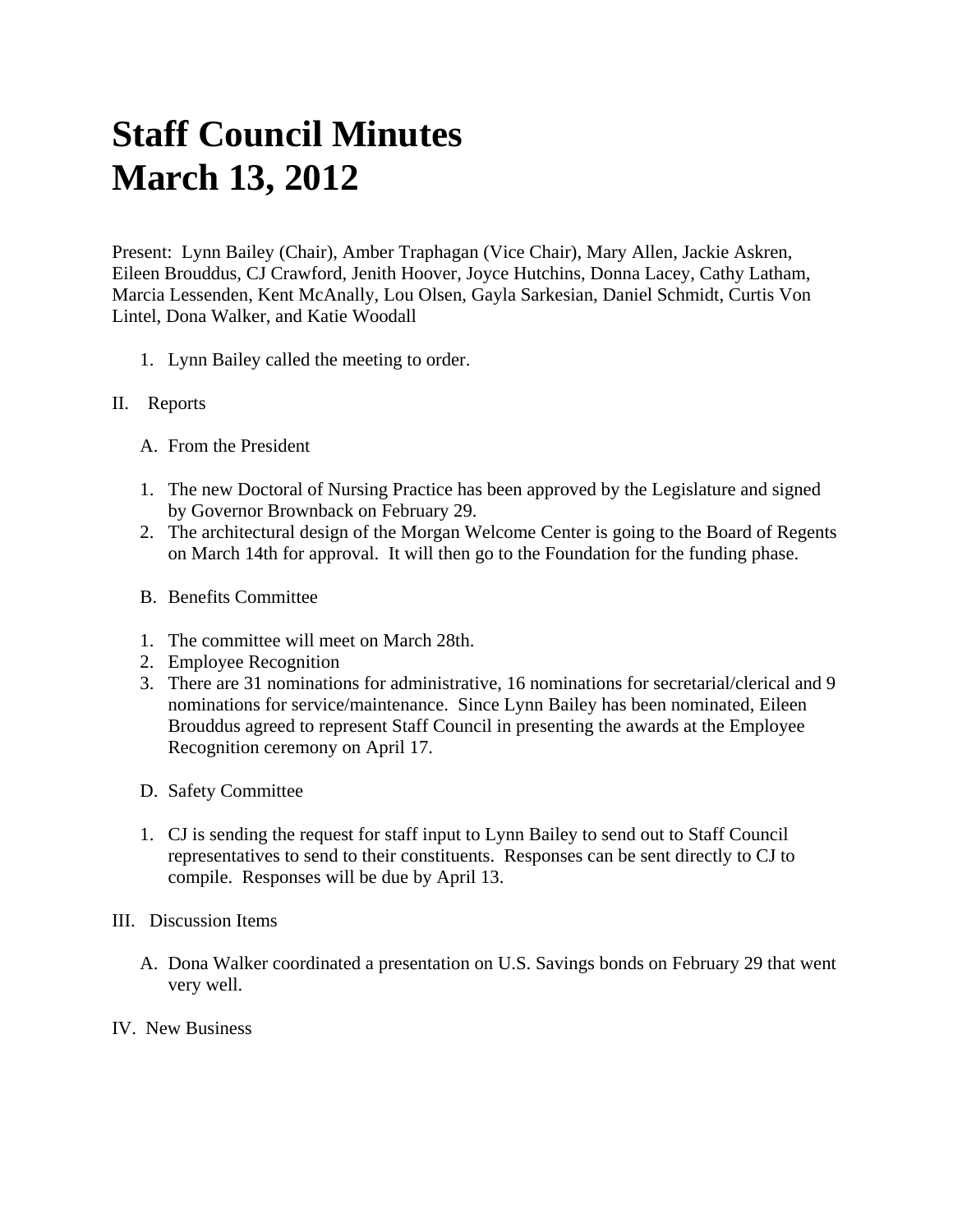## **Staff Council Minutes March 13, 2012**

Present: Lynn Bailey (Chair), Amber Traphagan (Vice Chair), Mary Allen, Jackie Askren, Eileen Brouddus, CJ Crawford, Jenith Hoover, Joyce Hutchins, Donna Lacey, Cathy Latham, Marcia Lessenden, Kent McAnally, Lou Olsen, Gayla Sarkesian, Daniel Schmidt, Curtis Von Lintel, Dona Walker, and Katie Woodall

1. Lynn Bailey called the meeting to order.

## II. Reports

- A. From the President
- 1. The new Doctoral of Nursing Practice has been approved by the Legislature and signed by Governor Brownback on February 29.
- 2. The architectural design of the Morgan Welcome Center is going to the Board of Regents on March 14th for approval. It will then go to the Foundation for the funding phase.
- B. Benefits Committee
- 1. The committee will meet on March 28th.
- 2. Employee Recognition
- 3. There are 31 nominations for administrative, 16 nominations for secretarial/clerical and 9 nominations for service/maintenance. Since Lynn Bailey has been nominated, Eileen Brouddus agreed to represent Staff Council in presenting the awards at the Employee Recognition ceremony on April 17.
- D. Safety Committee
- 1. CJ is sending the request for staff input to Lynn Bailey to send out to Staff Council representatives to send to their constituents. Responses can be sent directly to CJ to compile. Responses will be due by April 13.
- III. Discussion Items
	- A. Dona Walker coordinated a presentation on U.S. Savings bonds on February 29 that went very well.
- IV. New Business